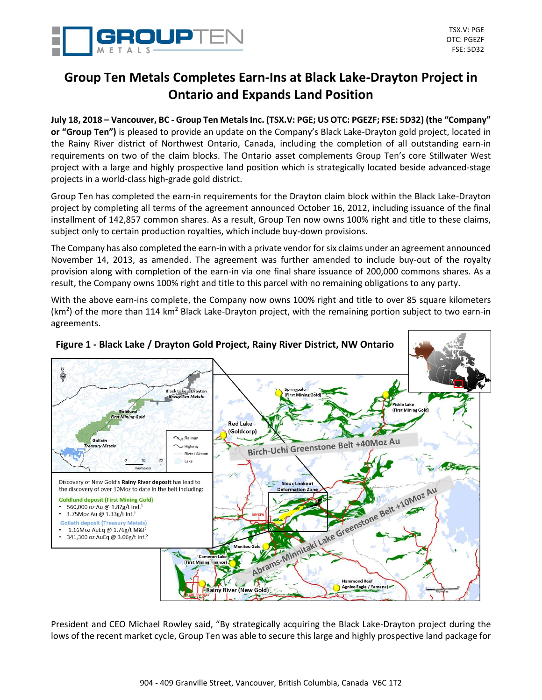

# **Group Ten Metals Completes Earn-Ins at Black Lake-Drayton Project in Ontario and Expands Land Position**

**July 18, 2018 – Vancouver, BC - Group Ten Metals Inc. (TSX.V: PGE; US OTC: PGEZF; FSE: 5D32) (the "Company" or "Group Ten")** is pleased to provide an update on the Company's Black Lake-Drayton gold project, located in the Rainy River district of Northwest Ontario, Canada, including the completion of all outstanding earn-in requirements on two of the claim blocks. The Ontario asset complements Group Ten's core Stillwater West project with a large and highly prospective land position which is strategically located beside advanced-stage projects in a world-class high-grade gold district.

Group Ten has completed the earn-in requirements for the Drayton claim block within the Black Lake-Drayton project by completing all terms of the agreement announced October 16, 2012, including issuance of the final installment of 142,857 common shares. As a result, Group Ten now owns 100% right and title to these claims, subject only to certain production royalties, which include buy-down provisions.

The Company has also completed the earn-in with a private vendor for six claims under an agreement announced November 14, 2013, as amended. The agreement was further amended to include buy-out of the royalty provision along with completion of the earn-in via one final share issuance of 200,000 commons shares. As a result, the Company owns 100% right and title to this parcel with no remaining obligations to any party.

With the above earn-ins complete, the Company now owns 100% right and title to over 85 square kilometers ( $km<sup>2</sup>$ ) of the more than 114 km<sup>2</sup> Black Lake-Drayton project, with the remaining portion subject to two earn-in agreements.



President and CEO Michael Rowley said, "By strategically acquiring the Black Lake-Drayton project during the lows of the recent market cycle, Group Ten was able to secure this large and highly prospective land package for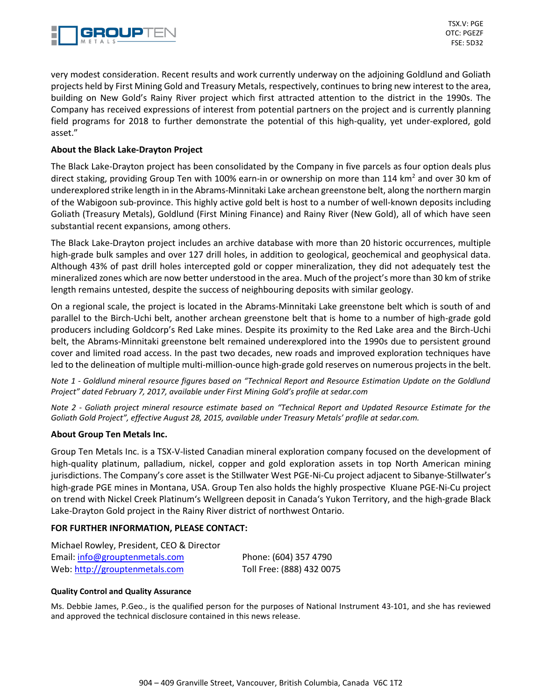

very modest consideration. Recent results and work currently underway on the adjoining Goldlund and Goliath projects held by First Mining Gold and Treasury Metals, respectively, continues to bring new interest to the area, building on New Gold's Rainy River project which first attracted attention to the district in the 1990s. The Company has received expressions of interest from potential partners on the project and is currently planning field programs for 2018 to further demonstrate the potential of this high-quality, yet under-explored, gold asset."

## **About the Black Lake-Drayton Project**

The Black Lake-Drayton project has been consolidated by the Company in five parcels as four option deals plus direct staking, providing Group Ten with 100% earn-in or ownership on more than 114 km<sup>2</sup> and over 30 km of underexplored strike length in in the Abrams‐Minnitaki Lake archean greenstone belt, along the northern margin of the Wabigoon sub-province. This highly active gold belt is host to a number of well-known deposits including Goliath (Treasury Metals), Goldlund (First Mining Finance) and Rainy River (New Gold), all of which have seen substantial recent expansions, among others.

The Black Lake-Drayton project includes an archive database with more than 20 historic occurrences, multiple high-grade bulk samples and over 127 drill holes, in addition to geological, geochemical and geophysical data. Although 43% of past drill holes intercepted gold or copper mineralization, they did not adequately test the mineralized zones which are now better understood in the area. Much of the project's more than 30 km of strike length remains untested, despite the success of neighbouring deposits with similar geology.

On a regional scale, the project is located in the Abrams‐Minnitaki Lake greenstone belt which is south of and parallel to the Birch-Uchi belt, another archean greenstone belt that is home to a number of high-grade gold producers including Goldcorp's Red Lake mines. Despite its proximity to the Red Lake area and the Birch-Uchi belt, the Abrams-Minnitaki greenstone belt remained underexplored into the 1990s due to persistent ground cover and limited road access. In the past two decades, new roads and improved exploration techniques have led to the delineation of multiple multi-million-ounce high-grade gold reserves on numerous projects in the belt.

*Note 1 - Goldlund mineral resource figures based on "Technical Report and Resource Estimation Update on the Goldlund Project" dated February 7, 2017, available under First Mining Gold's profile at sedar.com*

*Note 2 - Goliath project mineral resource estimate based on "Technical Report and Updated Resource Estimate for the Goliath Gold Project", effective August 28, 2015, available under Treasury Metals' profile at sedar.com.*

### **About Group Ten Metals Inc.**

Group Ten Metals Inc. is a TSX-V-listed Canadian mineral exploration company focused on the development of high-quality platinum, palladium, nickel, copper and gold exploration assets in top North American mining jurisdictions. The Company's core asset is the Stillwater West PGE-Ni-Cu project adjacent to Sibanye-Stillwater's high-grade PGE mines in Montana, USA. Group Ten also holds the highly prospective Kluane PGE-Ni-Cu project on trend with Nickel Creek Platinum's Wellgreen deposit in Canada's Yukon Territory, and the high-grade Black Lake-Drayton Gold project in the Rainy River district of northwest Ontario.

### **FOR FURTHER INFORMATION, PLEASE CONTACT:**

| Michael Rowley, President, CEO & Director |                           |
|-------------------------------------------|---------------------------|
| Email: info@grouptenmetals.com            | Phone: (604) 357 4790     |
| Web: http://grouptenmetals.com            | Toll Free: (888) 432 0075 |

### **Quality Control and Quality Assurance**

Ms. Debbie James, P.Geo., is the qualified person for the purposes of National Instrument 43-101, and she has reviewed and approved the technical disclosure contained in this news release.